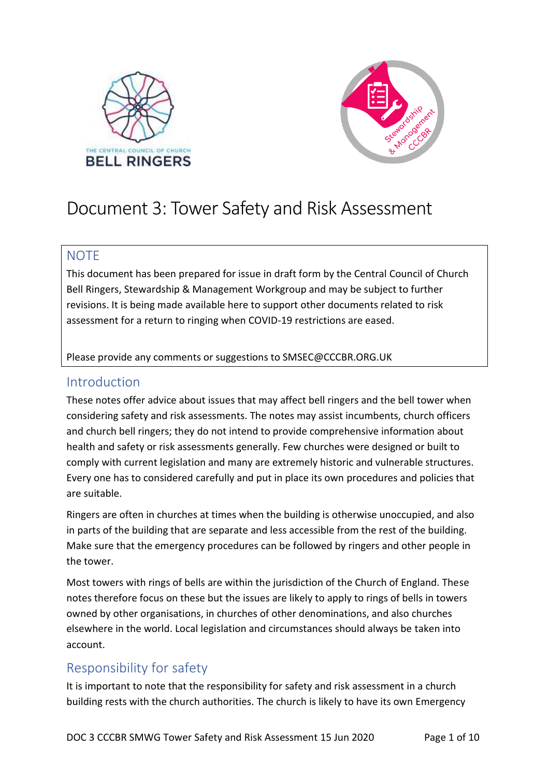



# Document 3: Tower Safety and Risk Assessment

## **NOTE**

This document has been prepared for issue in draft form by the Central Council of Church Bell Ringers, Stewardship & Management Workgroup and may be subject to further revisions. It is being made available here to support other documents related to risk assessment for a return to ringing when COVID-19 restrictions are eased.

Please provide any comments or suggestions to SMSEC@CCCBR.ORG.UK

## Introduction

These notes offer advice about issues that may affect bell ringers and the bell tower when considering safety and risk assessments. The notes may assist incumbents, church officers and church bell ringers; they do not intend to provide comprehensive information about health and safety or risk assessments generally. Few churches were designed or built to comply with current legislation and many are extremely historic and vulnerable structures. Every one has to considered carefully and put in place its own procedures and policies that are suitable.

Ringers are often in churches at times when the building is otherwise unoccupied, and also in parts of the building that are separate and less accessible from the rest of the building. Make sure that the emergency procedures can be followed by ringers and other people in the tower.

Most towers with rings of bells are within the jurisdiction of the Church of England. These notes therefore focus on these but the issues are likely to apply to rings of bells in towers owned by other organisations, in churches of other denominations, and also churches elsewhere in the world. Local legislation and circumstances should always be taken into account.

## Responsibility for safety

It is important to note that the responsibility for safety and risk assessment in a church building rests with the church authorities. The church is likely to have its own Emergency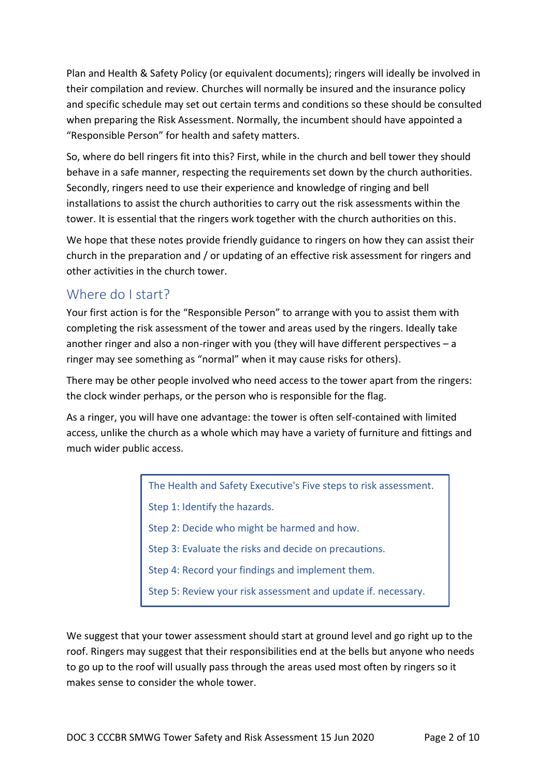Plan and Health & Safety Policy (or equivalent documents); ringers will ideally be involved in their compilation and review. Churches will normally be insured and the insurance policy and specific schedule may set out certain terms and conditions so these should be consulted when preparing the Risk Assessment. Normally, the incumbent should have appointed a "Responsible Person" for health and safety matters.

So, where do bell ringers fit into this? First, while in the church and bell tower they should behave in a safe manner, respecting the requirements set down by the church authorities. Secondly, ringers need to use their experience and knowledge of ringing and bell installations to assist the church authorities to carry out the risk assessments within the tower. It is essential that the ringers work together with the church authorities on this.

We hope that these notes provide friendly guidance to ringers on how they can assist their church in the preparation and / or updating of an effective risk assessment for ringers and other activities in the church tower.

## Where do I start?

Your first action is for the "Responsible Person" to arrange with you to assist them with completing the risk assessment of the tower and areas used by the ringers. Ideally take another ringer and also a non-ringer with you (they will have different perspectives – a ringer may see something as "normal" when it may cause risks for others).

There may be other people involved who need access to the tower apart from the ringers: the clock winder perhaps, or the person who is responsible for the flag.

As a ringer, you will have one advantage: the tower is often self-contained with limited access, unlike the church as a whole which may have a variety of furniture and fittings and much wider public access.

> The Health and Safety Executive's Five steps to risk assessment. Step 1: Identify the hazards. Step 2: Decide who might be harmed and how. Step 3: Evaluate the risks and decide on precautions. Step 4: Record your findings and implement them. Step 5: Review your risk assessment and update if. necessary.

We suggest that your tower assessment should start at ground level and go right up to the roof. Ringers may suggest that their responsibilities end at the bells but anyone who needs to go up to the roof will usually pass through the areas used most often by ringers so it makes sense to consider the whole tower.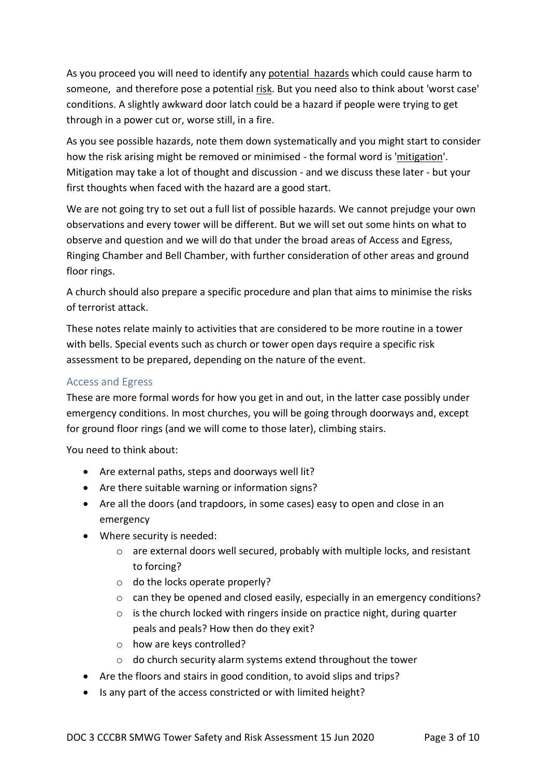As you proceed you will need to identify any potential hazards which could cause harm to someone, and therefore pose a potential risk. But you need also to think about 'worst case' conditions. A slightly awkward door latch could be a hazard if people were trying to get through in a power cut or, worse still, in a fire.

As you see possible hazards, note them down systematically and you might start to consider how the risk arising might be removed or minimised - the formal word is 'mitigation'. Mitigation may take a lot of thought and discussion - and we discuss these later - but your first thoughts when faced with the hazard are a good start.

We are not going try to set out a full list of possible hazards. We cannot prejudge your own observations and every tower will be different. But we will set out some hints on what to observe and question and we will do that under the broad areas of Access and Egress, Ringing Chamber and Bell Chamber, with further consideration of other areas and ground floor rings.

A church should also prepare a specific procedure and plan that aims to minimise the risks of terrorist attack.

These notes relate mainly to activities that are considered to be more routine in a tower with bells. Special events such as church or tower open days require a specific risk assessment to be prepared, depending on the nature of the event.

#### Access and Egress

These are more formal words for how you get in and out, in the latter case possibly under emergency conditions. In most churches, you will be going through doorways and, except for ground floor rings (and we will come to those later), climbing stairs.

You need to think about:

- Are external paths, steps and doorways well lit?
- Are there suitable warning or information signs?
- Are all the doors (and trapdoors, in some cases) easy to open and close in an emergency
- Where security is needed:
	- $\circ$  are external doors well secured, probably with multiple locks, and resistant to forcing?
	- o do the locks operate properly?
	- o can they be opened and closed easily, especially in an emergency conditions?
	- $\circ$  is the church locked with ringers inside on practice night, during quarter peals and peals? How then do they exit?
	- o how are keys controlled?
	- o do church security alarm systems extend throughout the tower
- Are the floors and stairs in good condition, to avoid slips and trips?
- Is any part of the access constricted or with limited height?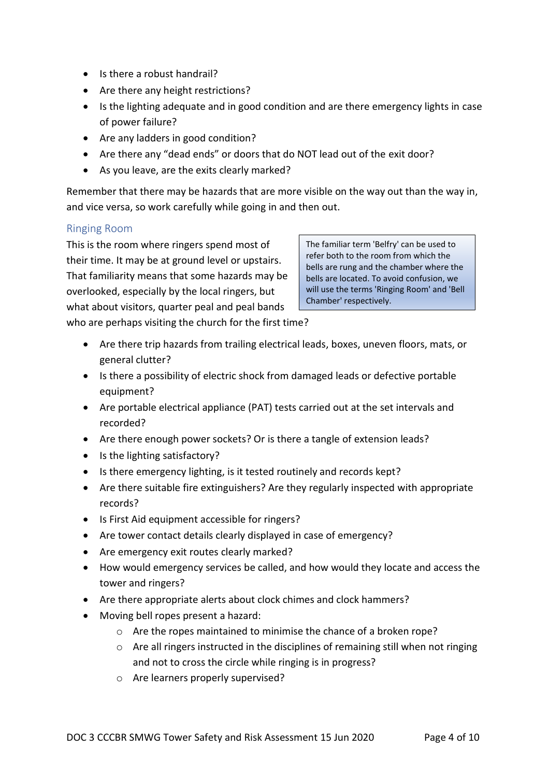- Is there a robust handrail?
- Are there any height restrictions?
- Is the lighting adequate and in good condition and are there emergency lights in case of power failure?
- Are any ladders in good condition?
- Are there any "dead ends" or doors that do NOT lead out of the exit door?
- As you leave, are the exits clearly marked?

Remember that there may be hazards that are more visible on the way out than the way in, and vice versa, so work carefully while going in and then out.

#### Ringing Room

This is the room where ringers spend most of their time. It may be at ground level or upstairs. That familiarity means that some hazards may be overlooked, especially by the local ringers, but what about visitors, quarter peal and peal bands

The familiar term 'Belfry' can be used to refer both to the room from which the bells are rung and the chamber where the bells are located. To avoid confusion, we will use the terms 'Ringing Room' and 'Bell Chamber' respectively.

who are perhaps visiting the church for the first time?

- Are there trip hazards from trailing electrical leads, boxes, uneven floors, mats, or general clutter?
- Is there a possibility of electric shock from damaged leads or defective portable equipment?
- Are portable electrical appliance (PAT) tests carried out at the set intervals and recorded?
- Are there enough power sockets? Or is there a tangle of extension leads?
- Is the lighting satisfactory?
- Is there emergency lighting, is it tested routinely and records kept?
- Are there suitable fire extinguishers? Are they regularly inspected with appropriate records?
- Is First Aid equipment accessible for ringers?
- Are tower contact details clearly displayed in case of emergency?
- Are emergency exit routes clearly marked?
- How would emergency services be called, and how would they locate and access the tower and ringers?
- Are there appropriate alerts about clock chimes and clock hammers?
- Moving bell ropes present a hazard:
	- o Are the ropes maintained to minimise the chance of a broken rope?
	- $\circ$  Are all ringers instructed in the disciplines of remaining still when not ringing and not to cross the circle while ringing is in progress?
	- o Are learners properly supervised?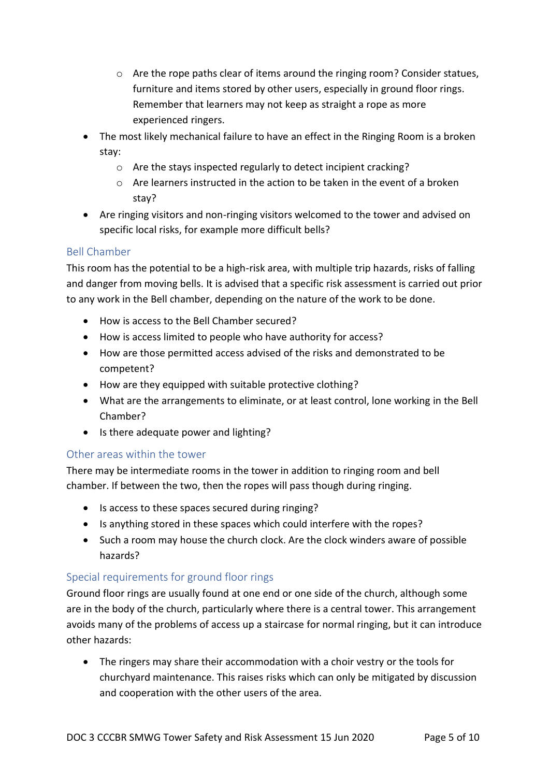- $\circ$  Are the rope paths clear of items around the ringing room? Consider statues, furniture and items stored by other users, especially in ground floor rings. Remember that learners may not keep as straight a rope as more experienced ringers.
- The most likely mechanical failure to have an effect in the Ringing Room is a broken stay:
	- o Are the stays inspected regularly to detect incipient cracking?
	- o Are learners instructed in the action to be taken in the event of a broken stay?
- Are ringing visitors and non-ringing visitors welcomed to the tower and advised on specific local risks, for example more difficult bells?

#### Bell Chamber

This room has the potential to be a high-risk area, with multiple trip hazards, risks of falling and danger from moving bells. It is advised that a specific risk assessment is carried out prior to any work in the Bell chamber, depending on the nature of the work to be done.

- How is access to the Bell Chamber secured?
- How is access limited to people who have authority for access?
- How are those permitted access advised of the risks and demonstrated to be competent?
- How are they equipped with suitable protective clothing?
- What are the arrangements to eliminate, or at least control, lone working in the Bell Chamber?
- Is there adequate power and lighting?

#### Other areas within the tower

There may be intermediate rooms in the tower in addition to ringing room and bell chamber. If between the two, then the ropes will pass though during ringing.

- Is access to these spaces secured during ringing?
- Is anything stored in these spaces which could interfere with the ropes?
- Such a room may house the church clock. Are the clock winders aware of possible hazards?

#### Special requirements for ground floor rings

Ground floor rings are usually found at one end or one side of the church, although some are in the body of the church, particularly where there is a central tower. This arrangement avoids many of the problems of access up a staircase for normal ringing, but it can introduce other hazards:

• The ringers may share their accommodation with a choir vestry or the tools for churchyard maintenance. This raises risks which can only be mitigated by discussion and cooperation with the other users of the area.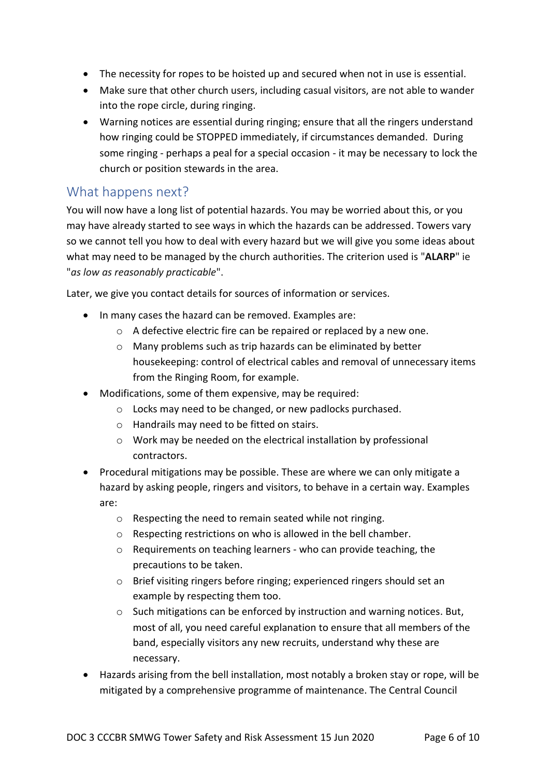- The necessity for ropes to be hoisted up and secured when not in use is essential.
- Make sure that other church users, including casual visitors, are not able to wander into the rope circle, during ringing.
- Warning notices are essential during ringing; ensure that all the ringers understand how ringing could be STOPPED immediately, if circumstances demanded. During some ringing - perhaps a peal for a special occasion - it may be necessary to lock the church or position stewards in the area.

### What happens next?

You will now have a long list of potential hazards. You may be worried about this, or you may have already started to see ways in which the hazards can be addressed. Towers vary so we cannot tell you how to deal with every hazard but we will give you some ideas about what may need to be managed by the church authorities. The criterion used is "**ALARP**" ie "*as low as reasonably practicable*".

[Later,](#page-7-0) we give you contact details for sources of information or services.

- In many cases the hazard can be removed. Examples are:
	- o A defective electric fire can be repaired or replaced by a new one.
	- o Many problems such as trip hazards can be eliminated by better housekeeping: control of electrical cables and removal of unnecessary items from the Ringing Room, for example.
- Modifications, some of them expensive, may be required:
	- o Locks may need to be changed, or new padlocks purchased.
	- o Handrails may need to be fitted on stairs.
	- o Work may be needed on the electrical installation by professional contractors.
- Procedural mitigations may be possible. These are where we can only mitigate a hazard by asking people, ringers and visitors, to behave in a certain way. Examples are:
	- o Respecting the need to remain seated while not ringing.
	- o Respecting restrictions on who is allowed in the bell chamber.
	- o Requirements on teaching learners who can provide teaching, the precautions to be taken.
	- o Brief visiting ringers before ringing; experienced ringers should set an example by respecting them too.
	- $\circ$  Such mitigations can be enforced by instruction and warning notices. But, most of all, you need careful explanation to ensure that all members of the band, especially visitors any new recruits, understand why these are necessary.
- Hazards arising from the bell installation, most notably a broken stay or rope, will be mitigated by a comprehensive programme of maintenance. The Central Council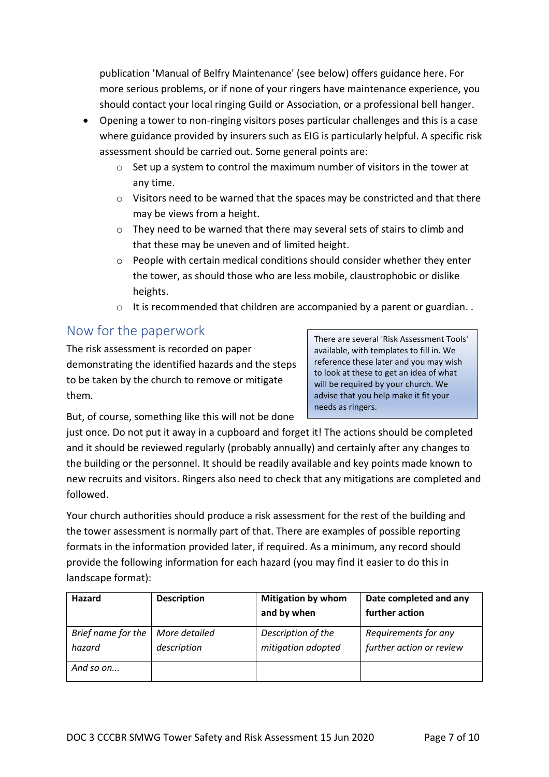publication 'Manual of Belfry Maintenance' (see [below\)](#page-7-0) offers guidance here. For more serious problems, or if none of your ringers have maintenance experience, you should contact your local ringing Guild or Association, or a professional bell hanger.

- Opening a tower to non-ringing visitors poses particular challenges and this is a case wher[e guidance](https://www.ecclesiastical.com/documents/bell-ringing-guidance.pdf) provided by insurers such as EIG is particularly helpful. A specific risk assessment should be carried out. Some general points are:
	- $\circ$  Set up a system to control the maximum number of visitors in the tower at any time.
	- $\circ$  Visitors need to be warned that the spaces may be constricted and that there may be views from a height.
	- $\circ$  They need to be warned that there may several sets of stairs to climb and that these may be uneven and of limited height.
	- $\circ$  People with certain medical conditions should consider whether they enter the tower, as should those who are less mobile, claustrophobic or dislike heights.
	- o It is recommended that children are accompanied by a parent or guardian. .

## Now for the paperwork

The risk assessment is recorded on paper demonstrating the identified hazards and the steps to be taken by the church to remove or mitigate them.

There are several 'Risk Assessment Tools' available, with templates to fill in. We reference these [later](#page-7-0) and you may wish to look at these to get an idea of what will be required by your church. We advise that you help make it fit your needs as ringers.

But, of course, something like this will not be done

just once. Do not put it away in a cupboard and forget it! The actions should be completed and it should be reviewed regularly (probably annually) and certainly after any changes to the building or the personnel. It should be readily available and key points made known to new recruits and visitors. Ringers also need to check that any mitigations are completed and followed.

Your church authorities should produce a risk assessment for the rest of the building and the tower assessment is normally part of that. There are examples of possible reporting formats in the information provide[d later,](#page-7-0) if required. As a minimum, any record should provide the following information for each hazard (you may find it easier to do this in landscape format):

| Hazard                       | <b>Description</b>           | <b>Mitigation by whom</b><br>and by when | Date completed and any<br>further action         |
|------------------------------|------------------------------|------------------------------------------|--------------------------------------------------|
| Brief name for the<br>hazard | More detailed<br>description | Description of the<br>mitigation adopted | Requirements for any<br>further action or review |
| And so on                    |                              |                                          |                                                  |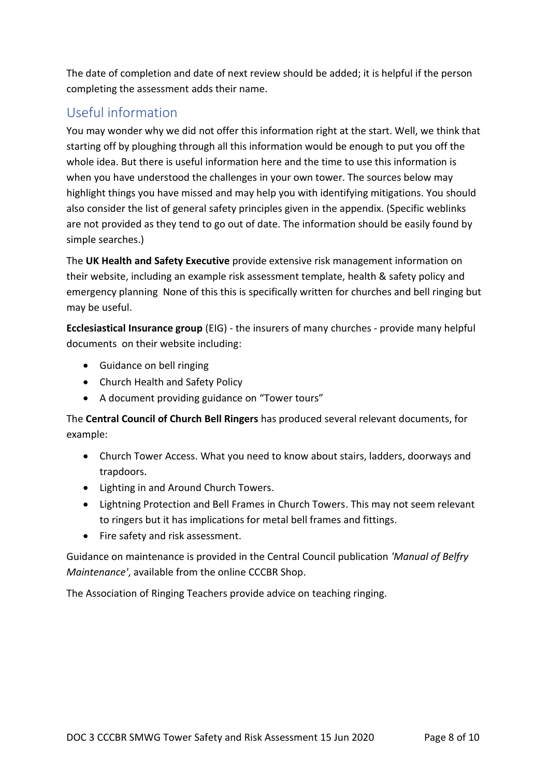The date of completion and date of next review should be added; it is helpful if the person completing the assessment adds their name.

# <span id="page-7-0"></span>Useful information

You may wonder why we did not offer this information right at the start. Well, we think that starting off by ploughing through all this information would be enough to put you off the whole idea. But there is useful information here and the time to use this information is when you have understood the challenges in your own tower. The sources below may highlight things you have missed and may help you with identifying mitigations. You should also consider the list of general safety principles given in the [appendix.](#page-8-0) (Specific weblinks are not provided as they tend to go out of date. The information should be easily found by simple searches.)

The **UK Health and Safety Executive** provide extensive risk management information on their website, including an example risk assessment template, health & safety policy and emergency planning None of this this is specifically written for churches and bell ringing but may be useful.

**Ecclesiastical Insurance group** (EIG) - the insurers of many churches - provide many helpful documents on their website including:

- Guidance on bell ringing
- [Church Health and Safety Policy](https://www.ecclesiastical.com/risk-management/church-health-and-safety/)
- A document providing guidance on "[Tower](https://www.ecclesiastical.com/documents/bell-ringing-guidance.pdf) tours"

The **Central Council of Church Bell Ringers** has produced several relevant documents, for example:

- [Church Tower Access.](https://cccbr.org.uk/wp-content/uploads/2019/12/SM_TowerAccess_2019_Ver_2.pdf) What you need to know about stairs, ladders, doorways and trapdoors.
- [Lighting in and Around Church Towers.](https://cccbr.org.uk/wp-content/uploads/2020/02/SM_Lighting_2019_Ver_3.pdf)
- [Lightning Protection and Bell Frames in Church Towers.](https://cccbr.org.uk/wp-content/uploads/2020/03/SM_LightningConductors_2020_Ver_1.pdf) This may not seem relevant to ringers but it has implications for metal bell frames and fittings.
- Fire safety and risk assessment.

Guidance on maintenance is provided in the Central Council publication *'Manual of Belfry Maintenance'*, available from the online CCCBR Shop.

The [Association of Ringing Teachers](http://ringingteachers.org/) provide advice on teaching ringing.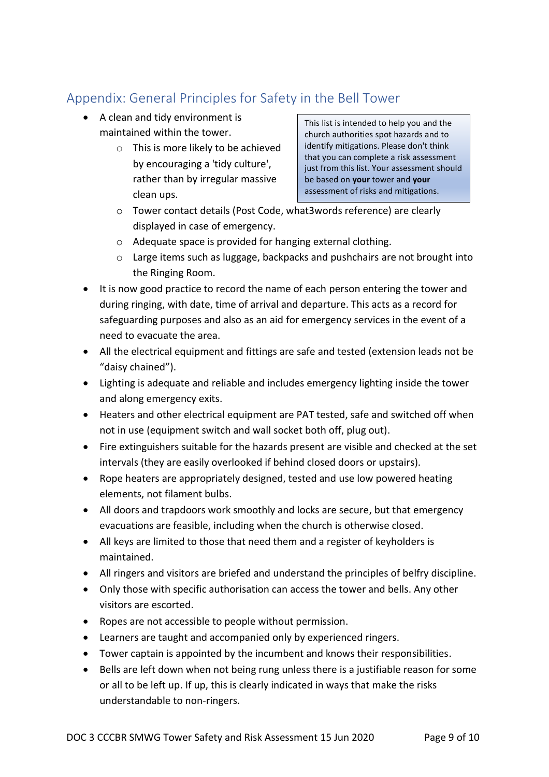# <span id="page-8-0"></span>Appendix: General Principles for Safety in the Bell Tower

- A clean and tidy environment is maintained within the tower.
	- o This is more likely to be achieved by encouraging a 'tidy culture', rather than by irregular massive clean ups.

This list is intended to help you and the church authorities spot hazards and to identify mitigations. Please don't think that you can complete a risk assessment just from this list. Your assessment should be based on **your** tower and **your** assessment of risks and mitigations.

- o Tower contact details (Post Code, what3words reference) are clearly displayed in case of emergency.
- o Adequate space is provided for hanging external clothing.
- o Large items such as luggage, backpacks and pushchairs are not brought into the Ringing Room.
- It is now good practice to record the name of each person entering the tower and during ringing, with date, time of arrival and departure. This acts as a record for safeguarding purposes and also as an aid for emergency services in the event of a need to evacuate the area.
- All the electrical equipment and fittings are safe and tested (extension leads not be "daisy chained").
- Lighting is adequate and reliable and includes emergency lighting inside the tower and along emergency exits.
- Heaters and other electrical equipment are PAT tested, safe and switched off when not in use (equipment switch and wall socket both off, plug out).
- Fire extinguishers suitable for the hazards present are visible and checked at the set intervals (they are easily overlooked if behind closed doors or upstairs).
- Rope heaters are appropriately designed, tested and use low powered heating elements, not filament bulbs.
- All doors and trapdoors work smoothly and locks are secure, but that emergency evacuations are feasible, including when the church is otherwise closed.
- All keys are limited to those that need them and a register of keyholders is maintained.
- All ringers and visitors are briefed and understand the principles of belfry discipline.
- Only those with specific authorisation can access the tower and bells. Any other visitors are escorted.
- Ropes are not accessible to people without permission.
- Learners are taught and accompanied only by experienced ringers.
- Tower captain is appointed by the incumbent and knows their responsibilities.
- Bells are left down when not being rung unless there is a justifiable reason for some or all to be left up. If up, this is clearly indicated in ways that make the risks understandable to non-ringers.